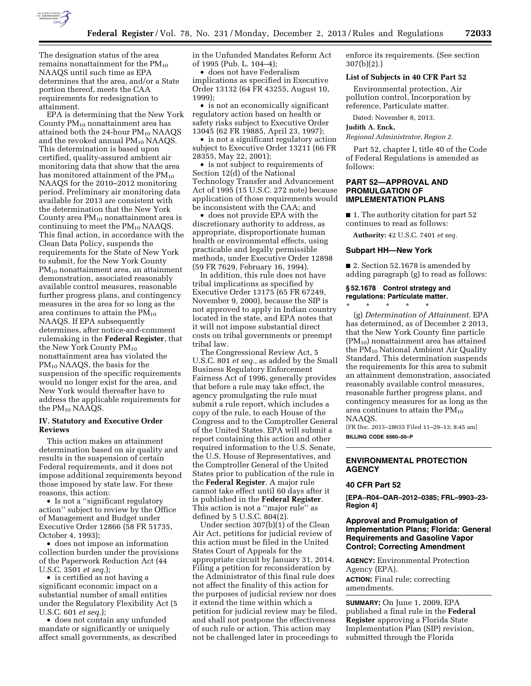

The designation status of the area remains nonattainment for the  $PM_{10}$ NAAQS until such time as EPA determines that the area, and/or a State portion thereof, meets the CAA requirements for redesignation to attainment.

EPA is determining that the New York County  $PM_{10}$  nonattainment area has attained both the  $24$ -hour  $PM_{10}$  NAAQS and the revoked annual  $PM_{10}$  NAAQS. This determination is based upon certified, quality-assured ambient air monitoring data that show that the area has monitored attainment of the  $PM_{10}$ NAAQS for the 2010–2012 monitoring period. Preliminary air monitoring data available for 2013 are consistent with the determination that the New York County area  $PM_{10}$  nonattainment area is continuing to meet the  $PM_{10}$  NAAQS. This final action, in accordance with the Clean Data Policy, suspends the requirements for the State of New York to submit, for the New York County PM<sub>10</sub> nonattainment area, an attainment demonstration, associated reasonably available control measures, reasonable further progress plans, and contingency measures in the area for so long as the area continues to attain the  $PM_{10}$ NAAQS. If EPA subsequently determines, after notice-and-comment rulemaking in the **Federal Register**, that the New York County  $PM_{10}$ nonattainment area has violated the PM<sub>10</sub> NAAQS, the basis for the suspension of the specific requirements would no longer exist for the area, and New York would thereafter have to address the applicable requirements for the PM10 NAAQS.

## **IV. Statutory and Executive Order Reviews**

This action makes an attainment determination based on air quality and results in the suspension of certain Federal requirements, and it does not impose additional requirements beyond those imposed by state law. For these reasons, this action:

• Is not a ''significant regulatory action'' subject to review by the Office of Management and Budget under Executive Order 12866 (58 FR 51735, October 4, 1993);

• does not impose an information collection burden under the provisions of the Paperwork Reduction Act (44 U.S.C. 3501 *et seq.*);

• is certified as not having a significant economic impact on a substantial number of small entities under the Regulatory Flexibility Act (5 U.S.C. 601 *et seq.*);

• does not contain any unfunded mandate or significantly or uniquely affect small governments, as described in the Unfunded Mandates Reform Act of 1995 (Pub. L. 104–4);

• does not have Federalism implications as specified in Executive Order 13132 (64 FR 43255, August 10, 1999);

• is not an economically significant regulatory action based on health or safety risks subject to Executive Order 13045 (62 FR 19885, April 23, 1997);

• is not a significant regulatory action subject to Executive Order 13211 (66 FR 28355, May 22, 2001);

• is not subject to requirements of Section 12(d) of the National Technology Transfer and Advancement Act of 1995 (15 U.S.C. 272 note) because application of those requirements would be inconsistent with the CAA; and

• does not provide EPA with the discretionary authority to address, as appropriate, disproportionate human health or environmental effects, using practicable and legally permissible methods, under Executive Order 12898 (59 FR 7629, February 16, 1994).

In addition, this rule does not have tribal implications as specified by Executive Order 13175 (65 FR 67249, November 9, 2000), because the SIP is not approved to apply in Indian country located in the state, and EPA notes that it will not impose substantial direct costs on tribal governments or preempt tribal law.

The Congressional Review Act, 5 U.S.C. 801 *et seq.,* as added by the Small Business Regulatory Enforcement Fairness Act of 1996, generally provides that before a rule may take effect, the agency promulgating the rule must submit a rule report, which includes a copy of the rule, to each House of the Congress and to the Comptroller General of the United States. EPA will submit a report containing this action and other required information to the U.S. Senate, the U.S. House of Representatives, and the Comptroller General of the United States prior to publication of the rule in the **Federal Register**. A major rule cannot take effect until 60 days after it is published in the **Federal Register**. This action is not a ''major rule'' as defined by 5 U.S.C. 804(2).

Under section 307(b)(1) of the Clean Air Act, petitions for judicial review of this action must be filed in the United States Court of Appeals for the appropriate circuit by January 31, 2014. Filing a petition for reconsideration by the Administrator of this final rule does not affect the finality of this action for the purposes of judicial review nor does it extend the time within which a petition for judicial review may be filed, and shall not postpone the effectiveness of such rule or action. This action may not be challenged later in proceedings to enforce its requirements. (See section 307(b)(2).)

## **List of Subjects in 40 CFR Part 52**

Environmental protection, Air pollution control, Incorporation by reference, Particulate matter.

Dated: November 8, 2013.

**Judith A. Enck,** 

*Regional Administrator, Region 2.* 

Part 52, chapter I, title 40 of the Code of Federal Regulations is amended as follows:

## **PART 52—APPROVAL AND PROMULGATION OF IMPLEMENTATION PLANS**

■ 1. The authority citation for part 52 continues to read as follows:

**Authority:** 42 U.S.C. 7401 *et seq.* 

### **Subpart HH—New York**

\* \* \* \* \*

■ 2. Section 52.1678 is amended by adding paragraph (g) to read as follows:

## **§ 52.1678 Control strategy and regulations: Particulate matter.**

(g) *Determination of Attainment.* EPA has determined, as of December 2 2013, that the New York County fine particle  $(PM_{10})$  nonattainment area has attained the PM10 National Ambient Air Quality Standard. This determination suspends the requirements for this area to submit an attainment demonstration, associated reasonably available control measures, reasonable further progress plans, and contingency measures for as long as the area continues to attain the  $PM_{10}$ NAAQS.

[FR Doc. 2013–28655 Filed 11–29–13; 8:45 am] **BILLING CODE 6560–50–P** 

## **ENVIRONMENTAL PROTECTION AGENCY**

## **40 CFR Part 52**

**[EPA–R04–OAR–2012–0385; FRL–9903–23- Region 4]** 

## **Approval and Promulgation of Implementation Plans; Florida: General Requirements and Gasoline Vapor Control; Correcting Amendment**

**AGENCY:** Environmental Protection Agency (EPA).

**ACTION:** Final rule; correcting amendments.

**SUMMARY:** On June 1, 2009, EPA published a final rule in the **Federal Register** approving a Florida State Implementation Plan (SIP) revision, submitted through the Florida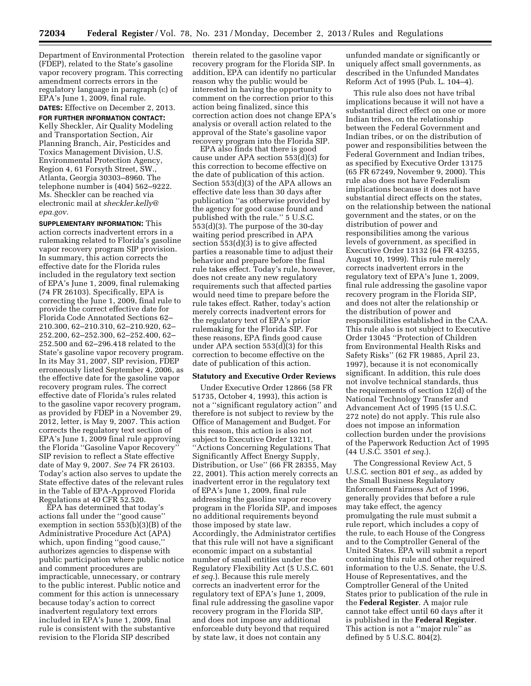Department of Environmental Protection (FDEP), related to the State's gasoline vapor recovery program. This correcting amendment corrects errors in the regulatory language in paragraph (c) of EPA's June 1, 2009, final rule.

**DATES:** Effective on December 2, 2013. **FOR FURTHER INFORMATION CONTACT:**  Kelly Sheckler, Air Quality Modeling and Transportation Section, Air Planning Branch, Air, Pesticides and Toxics Management Division, U.S. Environmental Protection Agency, Region 4, 61 Forsyth Street, SW., Atlanta, Georgia 30303–8960. The telephone number is (404) 562–9222. Ms. Sheckler can be reached via electronic mail at *[sheckler.kelly@](mailto:sheckler.kelly@epa.gov) [epa.gov.](mailto:sheckler.kelly@epa.gov)* 

**SUPPLEMENTARY INFORMATION:** This action corrects inadvertent errors in a rulemaking related to Florida's gasoline vapor recovery program SIP provision. In summary, this action corrects the effective date for the Florida rules included in the regulatory text section of EPA's June 1, 2009, final rulemaking (74 FR 26103). Specifically, EPA is correcting the June 1, 2009, final rule to provide the correct effective date for Florida Code Annotated Sections 62– 210.300, 62–210.310, 62–210.920, 62– 252.200, 62–252.300, 62–252.400, 62– 252.500 and 62–296.418 related to the State's gasoline vapor recovery program. In its May 31, 2007, SIP revision, FDEP erroneously listed September 4, 2006, as the effective date for the gasoline vapor recovery program rules. The correct effective date of Florida's rules related to the gasoline vapor recovery program, as provided by FDEP in a November 29, 2012, letter, is May 9, 2007. This action corrects the regulatory text section of EPA's June 1, 2009 final rule approving the Florida ''Gasoline Vapor Recovery'' SIP revision to reflect a State effective date of May 9, 2007. *See* 74 FR 26103. Today's action also serves to update the State effective dates of the relevant rules in the Table of EPA-Approved Florida Regulations at 40 CFR 52.520.

EPA has determined that today's actions fall under the ''good cause'' exemption in section 553(b)(3)(B) of the Administrative Procedure Act (APA) which, upon finding ''good cause,'' authorizes agencies to dispense with public participation where public notice and comment procedures are impracticable, unnecessary, or contrary to the public interest. Public notice and comment for this action is unnecessary because today's action to correct inadvertent regulatory text errors included in EPA's June 1, 2009, final rule is consistent with the substantive revision to the Florida SIP described

therein related to the gasoline vapor recovery program for the Florida SIP. In addition, EPA can identify no particular reason why the public would be interested in having the opportunity to comment on the correction prior to this action being finalized, since this correction action does not change EPA's analysis or overall action related to the approval of the State's gasoline vapor recovery program into the Florida SIP.

EPA also finds that there is good cause under APA section 553(d)(3) for this correction to become effective on the date of publication of this action. Section 553(d)(3) of the APA allows an effective date less than 30 days after publication ''as otherwise provided by the agency for good cause found and published with the rule.'' 5 U.S.C. 553(d)(3). The purpose of the 30-day waiting period prescribed in APA section 553(d)(3) is to give affected parties a reasonable time to adjust their behavior and prepare before the final rule takes effect. Today's rule, however, does not create any new regulatory requirements such that affected parties would need time to prepare before the rule takes effect. Rather, today's action merely corrects inadvertent errors for the regulatory text of EPA's prior rulemaking for the Florida SIP. For these reasons, EPA finds good cause under APA section 553(d)(3) for this correction to become effective on the date of publication of this action.

#### **Statutory and Executive Order Reviews**

Under Executive Order 12866 (58 FR 51735, October 4, 1993), this action is not a ''significant regulatory action'' and therefore is not subject to review by the Office of Management and Budget. For this reason, this action is also not subject to Executive Order 13211, ''Actions Concerning Regulations That Significantly Affect Energy Supply, Distribution, or Use'' (66 FR 28355, May 22, 2001). This action merely corrects an inadvertent error in the regulatory text of EPA's June 1, 2009, final rule addressing the gasoline vapor recovery program in the Florida SIP, and imposes no additional requirements beyond those imposed by state law. Accordingly, the Administrator certifies that this rule will not have a significant economic impact on a substantial number of small entities under the Regulatory Flexibility Act (5 U.S.C. 601 *et seq.*). Because this rule merely corrects an inadvertent error for the regulatory text of EPA's June 1, 2009, final rule addressing the gasoline vapor recovery program in the Florida SIP, and does not impose any additional enforceable duty beyond that required by state law, it does not contain any

unfunded mandate or significantly or uniquely affect small governments, as described in the Unfunded Mandates Reform Act of 1995 (Pub. L. 104–4).

This rule also does not have tribal implications because it will not have a substantial direct effect on one or more Indian tribes, on the relationship between the Federal Government and Indian tribes, or on the distribution of power and responsibilities between the Federal Government and Indian tribes, as specified by Executive Order 13175 (65 FR 67249, November 9, 2000). This rule also does not have Federalism implications because it does not have substantial direct effects on the states, on the relationship between the national government and the states, or on the distribution of power and responsibilities among the various levels of government, as specified in Executive Order 13132 (64 FR 43255, August 10, 1999). This rule merely corrects inadvertent errors in the regulatory text of EPA's June 1, 2009, final rule addressing the gasoline vapor recovery program in the Florida SIP, and does not alter the relationship or the distribution of power and responsibilities established in the CAA. This rule also is not subject to Executive Order 13045 ''Protection of Children from Environmental Health Risks and Safety Risks'' (62 FR 19885, April 23, 1997), because it is not economically significant. In addition, this rule does not involve technical standards, thus the requirements of section 12(d) of the National Technology Transfer and Advancement Act of 1995 (15 U.S.C. 272 note) do not apply. This rule also does not impose an information collection burden under the provisions of the Paperwork Reduction Act of 1995 (44 U.S.C. 3501 *et seq.*).

The Congressional Review Act, 5 U.S.C. section 801 *et seq.,* as added by the Small Business Regulatory Enforcement Fairness Act of 1996, generally provides that before a rule may take effect, the agency promulgating the rule must submit a rule report, which includes a copy of the rule, to each House of the Congress and to the Comptroller General of the United States. EPA will submit a report containing this rule and other required information to the U.S. Senate, the U.S. House of Representatives, and the Comptroller General of the United States prior to publication of the rule in the **Federal Register**. A major rule cannot take effect until 60 days after it is published in the **Federal Register**. This action is not a ''major rule'' as defined by 5 U.S.C. 804(2).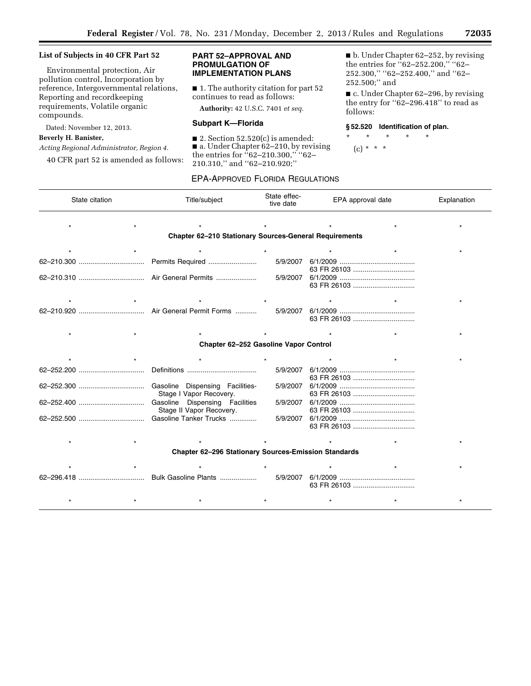## **List of Subjects in 40 CFR Part 52**

Environmental protection, Air pollution control, Incorporation by reference, Intergovernmental relations, Reporting and recordkeeping requirements, Volatile organic compounds.

Dated: November 12, 2013.

## **Beverly H. Banister,**

*Acting Regional Administrator, Region 4.* 

40 CFR part 52 is amended as follows:

## **PART 52–APPROVAL AND PROMULGATION OF IMPLEMENTATION PLANS**

■ 1. The authority citation for part 52 continues to read as follows:

**Authority:** 42 U.S.C. 7401 *et seq.* 

## **Subpart K—Florida**

 $\blacksquare$  2. Section 52.520(c) is amended: ■ a. Under Chapter 62–210, by revising the entries for ''62–210.300,'' ''62– 210.310,'' and ''62–210.920;''

■ b. Under Chapter 62–252, by revising the entries for "62-252.200," "62-252.300," "62-252.400," and "62-252.500;'' and

■ c. Under Chapter 62–296, by revising the entry for ''62–296.418'' to read as follows:

## **§ 52.520 Identification of plan.**

\* \* \* \* \* (c) \* \* \*

## EPA-APPROVED FLORIDA REGULATIONS

| State citation                                                |  | Title/subject                                              | State effec-<br>tive date |          | EPA approval date |             | Explanation |
|---------------------------------------------------------------|--|------------------------------------------------------------|---------------------------|----------|-------------------|-------------|-------------|
|                                                               |  |                                                            |                           |          |                   |             |             |
| <b>Chapter 62-210 Stationary Sources-General Requirements</b> |  |                                                            |                           |          |                   |             |             |
|                                                               |  |                                                            |                           |          |                   |             |             |
|                                                               |  | Permits Required                                           |                           | 5/9/2007 |                   |             |             |
|                                                               |  | Air General Permits                                        |                           | 5/9/2007 |                   |             |             |
|                                                               |  |                                                            |                           |          |                   |             |             |
|                                                               |  | Air General Permit Forms                                   |                           | 5/9/2007 |                   |             |             |
|                                                               |  |                                                            |                           |          |                   |             |             |
| Chapter 62-252 Gasoline Vapor Control                         |  |                                                            |                           |          |                   |             |             |
|                                                               |  |                                                            |                           |          |                   |             |             |
|                                                               |  |                                                            |                           | 5/9/2007 |                   |             |             |
|                                                               |  | Gasoline Dispensing Facilities-<br>Stage I Vapor Recovery. |                           | 5/9/2007 |                   |             |             |
|                                                               |  | Gasoline Dispensing Facilities<br>Stage II Vapor Recovery. |                           | 5/9/2007 |                   |             |             |
|                                                               |  | Gasoline Tanker Trucks                                     |                           | 5/9/2007 |                   |             |             |
|                                                               |  |                                                            |                           |          |                   |             |             |
| <b>Chapter 62-296 Stationary Sources-Emission Standards</b>   |  |                                                            |                           |          |                   |             |             |
|                                                               |  |                                                            |                           |          |                   |             |             |
|                                                               |  | Bulk Gasoline Plants                                       |                           | 5/9/2007 |                   | 63 FR 26103 |             |
|                                                               |  |                                                            |                           |          |                   |             |             |